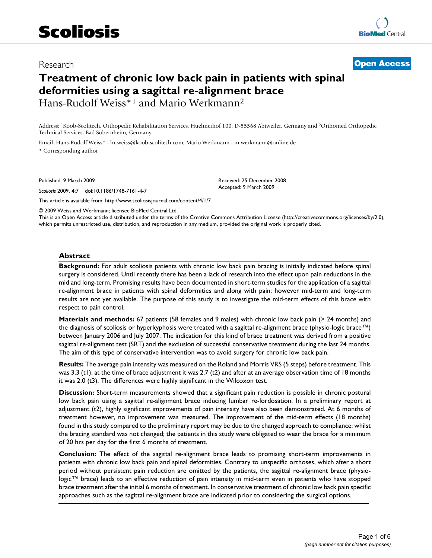## Research **[Open Access](http://www.biomedcentral.com/info/about/charter/)**

# **Treatment of chronic low back pain in patients with spinal deformities using a sagittal re-alignment brace** Hans-Rudolf Weiss\*1 and Mario Werkmann2

Address: 1Koob-Scolitech, Orthopedic Rehabilitation Services, Huehnerhof 100, D-55568 Abtweiler, Germany and 2Orthomed Orthopedic Technical Services, Bad Sobernheim, Germany

Email: Hans-Rudolf Weiss\* - hr.weiss@koob-scolitech.com; Mario Werkmann - m.werkmann@online.de \* Corresponding author

Published: 9 March 2009

*Scoliosis* 2009, **4**:7 doi:10.1186/1748-7161-4-7

[This article is available from: http://www.scoliosisjournal.com/content/4/1/7](http://www.scoliosisjournal.com/content/4/1/7)

© 2009 Weiss and Werkmann; licensee BioMed Central Ltd.

This is an Open Access article distributed under the terms of the Creative Commons Attribution License [\(http://creativecommons.org/licenses/by/2.0\)](http://creativecommons.org/licenses/by/2.0), which permits unrestricted use, distribution, and reproduction in any medium, provided the original work is properly cited.

Received: 25 December 2008 Accepted: 9 March 2009

#### **Abstract**

**Background:** For adult scoliosis patients with chronic low back pain bracing is initially indicated before spinal surgery is considered. Until recently there has been a lack of research into the effect upon pain reductions in the mid and long-term. Promising results have been documented in short-term studies for the application of a sagittal re-alignment brace in patients with spinal deformities and along with pain; however mid-term and long-term results are not yet available. The purpose of this study is to investigate the mid-term effects of this brace with respect to pain control.

**Materials and methods:** 67 patients (58 females and 9 males) with chronic low back pain (> 24 months) and the diagnosis of scoliosis or hyperkyphosis were treated with a sagittal re-alignment brace (physio-logic brace™) between January 2006 and July 2007. The indication for this kind of brace treatment was derived from a positive sagittal re-alignment test (SRT) and the exclusion of successful conservative treatment during the last 24 months. The aim of this type of conservative intervention was to avoid surgery for chronic low back pain.

**Results:** The average pain intensity was measured on the Roland and Morris VRS (5 steps) before treatment. This was 3.3 (t1), at the time of brace adjustment it was 2.7 (t2) and after at an average observation time of 18 months it was 2.0 (t3). The differences were highly significant in the Wilcoxon test.

**Discussion:** Short-term measurements showed that a significant pain reduction is possible in chronic postural low back pain using a sagittal re-alignment brace inducing lumbar re-lordosation. In a preliminary report at adjustment (t2), highly significant improvements of pain intensity have also been demonstrated. At 6 months of treatment however, no improvement was measured. The improvement of the mid-term effects (18 months) found in this study compared to the preliminary report may be due to the changed approach to compliance: whilst the bracing standard was not changed; the patients in this study were obligated to wear the brace for a minimum of 20 hrs per day for the first 6 months of treatment.

**Conclusion:** The effect of the sagittal re-alignment brace leads to promising short-term improvements in patients with chronic low back pain and spinal deformities. Contrary to unspecific orthoses, which after a short period without persistent pain reduction are omitted by the patients, the sagittal re-alignment brace (physiologic™ brace) leads to an effective reduction of pain intensity in mid-term even in patients who have stopped brace treatment after the initial 6 months of treatment. In conservative treatment of chronic low back pain specific approaches such as the sagittal re-alignment brace are indicated prior to considering the surgical options.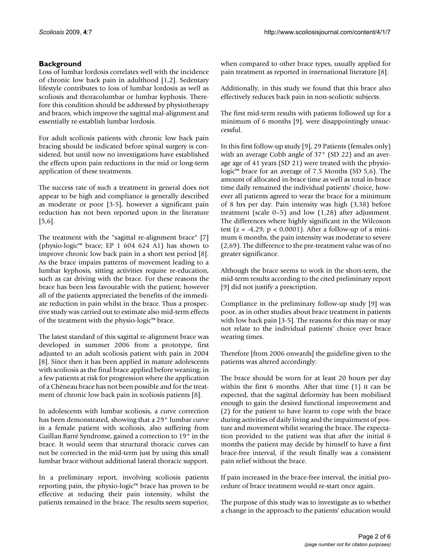## **Background**

Loss of lumbar lordosis correlates well with the incidence of chronic low back pain in adulthood [1,2]. Sedentary lifestyle contributes to loss of lumbar lordosis as well as scoliosis and thoracolumbar or lumbar kyphosis. Therefore this condition should be addressed by physiotherapy and braces, which improve the sagittal mal-alignment and essentially re-establish lumbar lordosis.

For adult scoliosis patients with chronic low back pain bracing should be indicated before spinal surgery is considered, but until now no investigations have established the effects upon pain reductions in the mid or long-term application of these treatments.

The success rate of such a treatment in general does not appear to be high and compliance is generally described as moderate or poor [3-5], however a significant pain reduction has not been reported upon in the literature [5,6].

The treatment with the "sagittal re-alignment brace" [7] (physio-logic™ brace; EP 1 604 624 A1) has shown to improve chronic low back pain in a short test period [8]. As the brace impairs patterns of movement leading to a lumbar kyphosis, sitting activities require re-education, such as car driving with the brace. For these reasons the brace has been less favourable with the patient; however all of the patients appreciated the benefits of the immediate reduction in pain whilst in the brace. Thus a prospective study was carried out to estimate also mid-term effects of the treatment with the physio-logic™ brace.

The latest standard of this sagittal re-alignment brace was developed in summer 2006 from a prototype, first adjusted to an adult scoliosis patient with pain in 2004 [8]. Since then it has been applied in mature adolescents with scoliosis as the final brace applied before weaning; in a few patients at risk for progression where the application of a Chêneau brace has not been possible and for the treatment of chronic low back pain in scoliosis patients [8].

In adolescents with lumbar scoliosis, a curve correction has been demonstrated, showing that a 29° lumbar curve in a female patient with scoliosis, also suffering from Guillan Barré Syndrome, gained a correction to 19° in the brace. It would seem that structural thoracic curves can not be corrected in the mid-term just by using this small lumbar brace without additional lateral thoracic support.

In a preliminary report, involving scoliosis patients reporting pain, the physio-logic™ brace has proven to be effective at reducing their pain intensity, whilst the patients remained in the brace. The results seem superior, when compared to other brace types, usually applied for pain treatment as reported in international literature [8].

Additionally, in this study we found that this brace also effectively reduces back pain in non-scoliotic subjects.

The first mid-term results with patients followed up for a minimum of 6 months [9], were disappointingly unsuccessful.

In this first follow-up study [9], 29 Patients (females only) with an average Cobb angle of 37° (SD 22) and an average age of 41 years (SD 21) were treated with the physiologic™ brace for an average of 7.5 Months (SD 5,6). The amount of allocated in-brace time as well as total in-brace time daily remained the individual patients' choice, however all patients agreed to wear the brace for a minimum of 8 hrs per day. Pain intensity was high (3,38) before treatment (scale 0–5) and low (1,28) after adjustment. The differences where highly significant in the Wilcoxon test (z =  $-4,29$ ; p < 0,0001). After a follow-up of a minimum 6 months, the pain intensity was moderate to severe (2,69). The difference to the pre-treatment value was of no greater significance.

Although the brace seems to work in the short-term, the mid-term results according to the cited preliminary report [9] did not justify a prescription.

Compliance in the preliminary follow-up study [9] was poor, as in other studies about brace treatment in patients with low back pain [3-5]. The reasons for this may or may not relate to the individual patients' choice over brace wearing times.

Therefore [from 2006 onwards] the guideline given to the patients was altered accordingly:

The brace should be worn for at least 20 hours per day within the first 6 months. After that time (1) it can be expected, that the sagittal deformity has been mobilised enough to gain the desired functional improvement and (2) for the patient to have learnt to cope with the brace during activities of daily living and the impairment of posture and movement whilst wearing the brace. The expectation provided to the patient was that after the initial 6 months the patient may decide by himself to have a first brace-free interval, if the result finally was a consistent pain relief without the brace.

If pain increased in the brace-free interval, the initial procedure of brace treatment would re-start once again.

The purpose of this study was to investigate as to whether a change in the approach to the patients' education would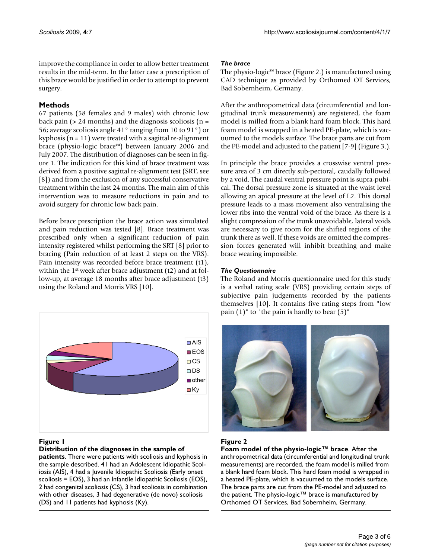improve the compliance in order to allow better treatment results in the mid-term. In the latter case a prescription of this brace would be justified in order to attempt to prevent surgery.

## **Methods**

67 patients (58 females and 9 males) with chronic low back pain ( $> 24$  months) and the diagnosis scoliosis ( $n =$ 56; average scoliosis angle 41° ranging from 10 to 91°) or kyphosis ( $n = 11$ ) were treated with a sagittal re-alignment brace (physio-logic brace™) between January 2006 and July 2007. The distribution of diagnoses can be seen in figure 1. The indication for this kind of brace treatment was derived from a positive sagittal re-alignment test (SRT, see [8]) and from the exclusion of any successful conservative treatment within the last 24 months. The main aim of this intervention was to measure reductions in pain and to avoid surgery for chronic low back pain.

Before brace prescription the brace action was simulated and pain reduction was tested [8]. Brace treatment was prescribed only when a significant reduction of pain intensity registered whilst performing the SRT [8] prior to bracing (Pain reduction of at least 2 steps on the VRS). Pain intensity was recorded before brace treatment (t1), within the 1<sup>st</sup> week after brace adjustment (t2) and at follow-up, at average 18 months after brace adjustment (t3) using the Roland and Morris VRS [10].



## **Figure 1**

#### **Distribution of the diagnoses in the sample of**

**patients**. There were patients with scoliosis and kyphosis in the sample described. 41 had an Adolescent Idiopathic Scoliosis (AIS), 4 had a Juvenile Idiopathic Scoliosis (Early onset scoliosis = EOS), 3 had an Infantile Idiopathic Scoliosis (EOS), 2 had congenital scoliosis (CS), 3 had scoliosis in combination with other diseases, 3 had degenerative (de novo) scoliosis (DS) and 11 patients had kyphosis (Ky).

## *The brace*

The physio-logic™ brace (Figure 2.) is manufactured using CAD technique as provided by Orthomed OT Services, Bad Sobernheim, Germany.

After the anthropometrical data (circumferential and longitudinal trunk measurements) are registered, the foam model is milled from a blank hard foam block. This hard foam model is wrapped in a heated PE-plate, which is vacuumed to the models surface. The brace parts are cut from the PE-model and adjusted to the patient [7-9] (Figure 3.).

In principle the brace provides a crosswise ventral pressure area of 3 cm directly sub-pectoral, caudally followed by a void. The caudal ventral pressure point is supra-pubical. The dorsal pressure zone is situated at the waist level allowing an apical pressure at the level of L2. This dorsal pressure leads to a mass movement also ventralising the lower ribs into the ventral void of the brace. As there is a slight compression of the trunk unavoidable, lateral voids are necessary to give room for the shifted regions of the trunk there as well. If these voids are omitted the compression forces generated will inhibit breathing and make brace wearing impossible.

#### *The Questionnaire*

The Roland and Morris questionnaire used for this study is a verbal rating scale (VRS) providing certain steps of subjective pain judgements recorded by the patients themselves [10]. It contains five rating steps from "low pain  $(1)$ " to "the pain is hardly to bear  $(5)$ "



## Figure 2

**Foam model of the physio-logic™ brace**. After the anthropometrical data (circumferential and longitudinal trunk measurements) are recorded, the foam model is milled from a blank hard foam block. This hard foam model is wrapped in a heated PE-plate, which is vacuumed to the models surface. The brace parts are cut from the PE-model and adjusted to the patient. The physio-logic™ brace is manufactured by Orthomed OT Services, Bad Sobernheim, Germany.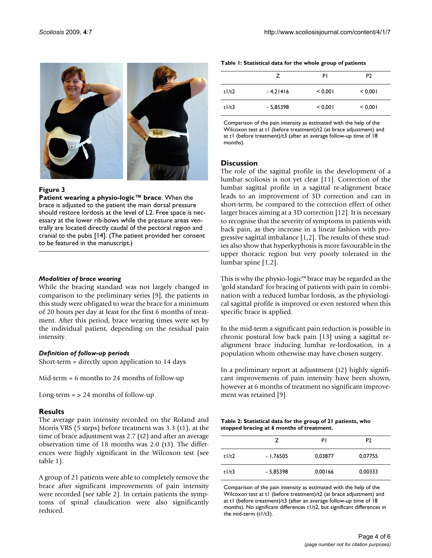

#### **Figure 3**

**Patient wearing a physio-logic™ brace**. When the brace is adjusted to the patient the main dorsal pressure should restore lordosis at the level of L2. Free space is necessary at the lower rib-bows while the pressure areas ventrally are located directly caudal of the pectoral region and cranial to the pubis [14]. (The patient provided her consent to be featured in the manuscript.)

#### *Modalities of brace wearing*

While the bracing standard was not largely changed in comparison to the preliminary series [9], the patients in this study were obligated to wear the brace for a minimum of 20 hours per day at least for the first 6 months of treatment. After this period, brace wearing times were set by the individual patient, depending on the residual pain intensity.

## *Definition of follow-up periods*

Short-term = directly upon application to 14 days

Mid-term = 6 months to 24 months of follow-up

Long-term  $=$  > 24 months of follow-up

## **Results**

The average pain intensity recorded on the Roland and Morris VRS (5 steps) before treatment was 3.3 (t1), at the time of brace adjustment was 2.7 (t2) and after an average observation time of 18 months was 2.0 (t3). The differences were highly significant in the Wilcoxon test (see table 1).

A group of 21 patients were able to completely remove the brace after significant improvements of pain intensity were recorded (see table 2). In certain patients the symptoms of spinal claudication were also significantly reduced.

| Table I: Statistical data for the whole group of patients |  |  |
|-----------------------------------------------------------|--|--|
|-----------------------------------------------------------|--|--|

|              | 7          | P١      | P <sub>2</sub> |
|--------------|------------|---------|----------------|
| $t$ l/t2     | $-4,21416$ | < 0.001 | < 0,001        |
| $t$  / $t$ 3 | $-5,85398$ | < 0,001 | < 0,001        |

Comparison of the pain intensity as estimated with the help of the Wilcoxon test at t1 (before treatment)/t2 (at brace adjustment) and at t1 (before treatment)/t3 (after an average follow-up time of 18 months).

## **Discussion**

The role of the sagittal profile in the development of a lumbar scoliosis is not yet clear [11]. Correction of the lumbar sagittal profile in a sagittal re-alignment brace leads to an improvement of 3D correction and can in short-term, be compared to the correction effect of other larger braces aiming at a 3D correction [12]. It is necessary to recognise that the severity of symptoms in patients with back pain, as they increase in a linear fashion with progressive sagittal imbalance [1,2]. The results of these studies also show that hyperkyphosis is more favourable in the upper thoracic region but very poorly tolerated in the lumbar spine [1,2].

This is why the physio-logic™ brace may be regarded as the 'gold standard' for bracing of patients with pain in combination with a reduced lumbar lordosis, as the physiological sagittal profile is improved or even restored when this specific brace is applied.

In the mid-term a significant pain reduction is possible in chronic postural low back pain [13] using a sagittal realignment brace inducing lumbar re-lordosation, in a population whom otherwise may have chosen surgery.

In a preliminary report at adjustment (t2) highly significant improvements of pain intensity have been shown, however at 6 months of treatment no significant improvement was retained [9].

| Table 2: Statistical data for the group of 21 patients, who |  |  |
|-------------------------------------------------------------|--|--|
| stopped bracing at 6 months of treatment.                   |  |  |

|          | 7          | P١      | P <sub>2</sub> |
|----------|------------|---------|----------------|
| $t$  /t2 | - 1,76505  | 0,03877 | 0,07755        |
| t1/t3    | $-5,85398$ | 0,00166 | 0,00333        |

Comparison of the pain intensity as estimated with the help of the Wilcoxon test at t1 (before treatment)/t2 (at brace adjustment) and at t1 (before treatment)/t3 (after an average follow-up time of 18 months). No significant differences t1/t2, but significant differences in the mid-term (t1/t3).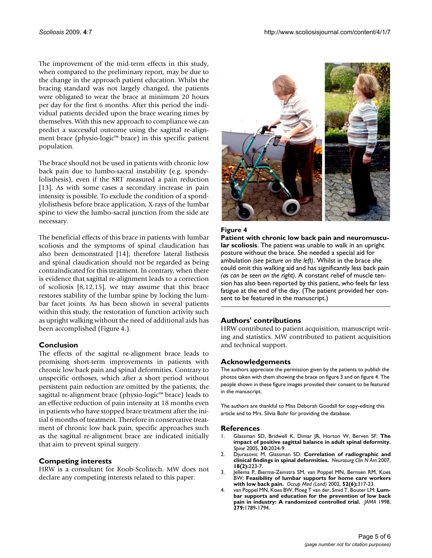The improvement of the mid-term effects in this study, when compared to the preliminary report, may be due to the change in the approach patient education. Whilst the bracing standard was not largely changed, the patients were obligated to wear the brace at minimum 20 hours per day for the first 6 months. After this period the individual patients decided upon the brace wearing times by themselves. With this new approach to compliance we can predict a successful outcome using the sagittal re-alignment brace (physio-logic™ brace) in this specific patient population.

The brace should not be used in patients with chronic low back pain due to lumbo-sacral instability (e.g. spondylolisthesis), even if the SRT measured a pain reduction [13]. As with some cases a secondary increase in pain intensity is possible. To exclude the condition of a spondylolisthesis before brace application, X-rays of the lumbar spine to view the lumbo-sacral junction from the side are necessary.

The beneficial effects of this brace in patients with lumbar scoliosis and the symptoms of spinal claudication has also been demonstrated [14]; therefore lateral listhesis and spinal claudication should not be regarded as being contraindicated for this treatment. In contrary, when there is evidence that sagittal re-alignment leads to a correction of scoliosis [8,12,15], we may assume that this brace restores stability of the lumbar spine by locking the lumbar facet joints. As has been shown in several patients within this study, the restoration of function activity such as upright walking without the need of additional aids has been accomplished (Figure 4.).

## **Conclusion**

The effects of the sagittal re-alignment brace leads to promising short-term improvements in patients with chronic low back pain and spinal deformities. Contrary to unspecific orthoses, which after a short period without persistent pain reduction are omitted by the patients, the sagittal re-alignment brace (physio-logic™ brace) leads to an effective reduction of pain intensity at 18 months even in patients who have stopped brace treatment after the initial 6 months of treatment. Therefore in conservative treatment of chronic low back pain, specific approaches such as the sagittal re-alignment brace are indicated initially that aim to prevent spinal surgery.

## **Competing interests**

HRW is a consultant for Koob-Scolitech. MW does not declare any competing interests related to this paper.



#### **Figure 4**

**Patient with chronic low back pain and neuromuscular scoliosis**. The patient was unable to walk in an upright posture without the brace. She needed a special aid for ambulation *(see picture on the left)*. Whilst in the brace she could omit this walking aid and has significantly less back pain *(as can be seen on the right)*. A constant relief of muscle tension has also been reported by this patient, who feels far less fatigue at the end of the day. (The patient provided her consent to be featured in the manuscript.)

## **Authors' contributions**

HRW contributed to patient acquisition, manuscript writing and statistics. MW contributed to patient acquisition and technical support.

## **Acknowledgements**

The authors appreciate the permission given by the patients to publish the photos taken with them showing the brace on figure 3 and on figure 4. The people shown in these figure images provided their consent to be featured in the manuscript.

The authors are thankful to Miss Deborah Goodall for copy-editing this article and to Mrs. Silvia Bohr for providing the database.

#### **References**

- 1. Glassman SD, Bridwell K, Dimar JR, Horton W, Berven SF: **[The](http://www.ncbi.nlm.nih.gov/entrez/query.fcgi?cmd=Retrieve&db=PubMed&dopt=Abstract&list_uids=16166889) [impact of positive sagittal balance in adult spinal deformity.](http://www.ncbi.nlm.nih.gov/entrez/query.fcgi?cmd=Retrieve&db=PubMed&dopt=Abstract&list_uids=16166889)** *Spine* 2005, **30:**2024-9.
- 2. Djurasovic M, Glassman SD: **[Correlation of radiographic and](http://www.ncbi.nlm.nih.gov/entrez/query.fcgi?cmd=Retrieve&db=PubMed&dopt=Abstract&list_uids=17556122) [clinical findings in spinal deformities.](http://www.ncbi.nlm.nih.gov/entrez/query.fcgi?cmd=Retrieve&db=PubMed&dopt=Abstract&list_uids=17556122)** *Neurosurg Clin N Am* 2007, **18(2):**223-7.
- 3. Jellema P, Bierma-Zeinstra SM, van Poppel MN, Bernsen RM, Koes BW: **[Feasibility of lumbar supports for home care workers](http://www.ncbi.nlm.nih.gov/entrez/query.fcgi?cmd=Retrieve&db=PubMed&dopt=Abstract&list_uids=12361993) [with low back pain.](http://www.ncbi.nlm.nih.gov/entrez/query.fcgi?cmd=Retrieve&db=PubMed&dopt=Abstract&list_uids=12361993)** *Occup Med (Lond)* 2002, **52(6):**317-23.
- 4. van Poppel MN, Koes BW, Ploeg T van der, Smid T, Bouter LM: **[Lum](http://www.ncbi.nlm.nih.gov/entrez/query.fcgi?cmd=Retrieve&db=PubMed&dopt=Abstract&list_uids=9628709)[bar supports and education for the prevention of low back](http://www.ncbi.nlm.nih.gov/entrez/query.fcgi?cmd=Retrieve&db=PubMed&dopt=Abstract&list_uids=9628709) [pain in industry: A randomized controlled trial.](http://www.ncbi.nlm.nih.gov/entrez/query.fcgi?cmd=Retrieve&db=PubMed&dopt=Abstract&list_uids=9628709)** *JAMA* 1998, **279:**1789-1794.